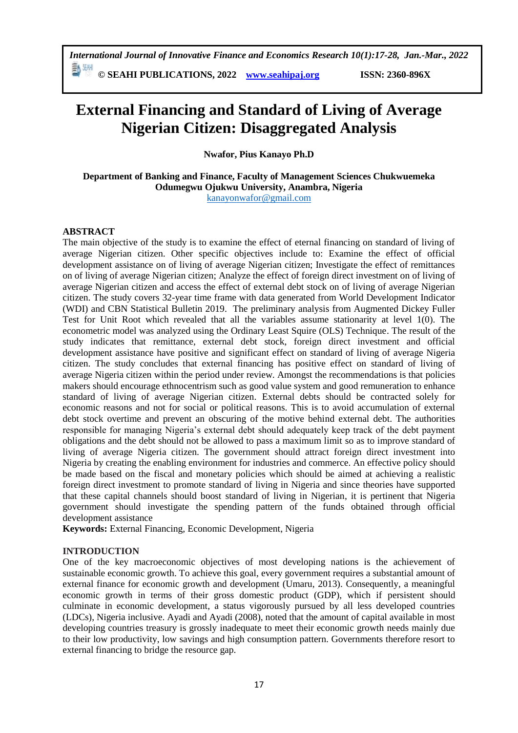*International Journal of Innovative Finance and Economics Research 10(1):17-28, Jan.-Mar., 2022*

勤酬 **© SEAHI PUBLICATIONS, 2022 [www.seahipaj.org](http://www.seahipaj.org/) ISSN: 2360-896X**

# **External Financing and Standard of Living of Average Nigerian Citizen: Disaggregated Analysis**

**Nwafor, Pius Kanayo Ph.D** 

**Department of Banking and Finance, Faculty of Management Sciences Chukwuemeka Odumegwu Ojukwu University, Anambra, Nigeria**  [kanayonwafor@gmail.com](mailto:kanayonwafor@gmail.com)

## **ABSTRACT**

The main objective of the study is to examine the effect of eternal financing on standard of living of average Nigerian citizen. Other specific objectives include to: Examine the effect of official development assistance on of living of average Nigerian citizen; Investigate the effect of remittances on of living of average Nigerian citizen; Analyze the effect of foreign direct investment on of living of average Nigerian citizen and access the effect of external debt stock on of living of average Nigerian citizen. The study covers 32-year time frame with data generated from World Development Indicator (WDI) and CBN Statistical Bulletin 2019. The preliminary analysis from Augmented Dickey Fuller Test for Unit Root which revealed that all the variables assume stationarity at level 1(0). The econometric model was analyzed using the Ordinary Least Squire (OLS) Technique. The result of the study indicates that remittance, external debt stock, foreign direct investment and official development assistance have positive and significant effect on standard of living of average Nigeria citizen. The study concludes that external financing has positive effect on standard of living of average Nigeria citizen within the period under review. Amongst the recommendations is that policies makers should encourage ethnocentrism such as good value system and good remuneration to enhance standard of living of average Nigerian citizen. External debts should be contracted solely for economic reasons and not for social or political reasons. This is to avoid accumulation of external debt stock overtime and prevent an obscuring of the motive behind external debt. The authorities responsible for managing Nigeria's external debt should adequately keep track of the debt payment obligations and the debt should not be allowed to pass a maximum limit so as to improve standard of living of average Nigeria citizen. The government should attract foreign direct investment into Nigeria by creating the enabling environment for industries and commerce. An effective policy should be made based on the fiscal and monetary policies which should be aimed at achieving a realistic foreign direct investment to promote standard of living in Nigeria and since theories have supported that these capital channels should boost standard of living in Nigerian, it is pertinent that Nigeria government should investigate the spending pattern of the funds obtained through official development assistance

**Keywords:** External Financing, Economic Development, Nigeria

#### **INTRODUCTION**

One of the key macroeconomic objectives of most developing nations is the achievement of sustainable economic growth. To achieve this goal, every government requires a substantial amount of external finance for economic growth and development (Umaru, 2013). Consequently, a meaningful economic growth in terms of their gross domestic product (GDP), which if persistent should culminate in economic development, a status vigorously pursued by all less developed countries (LDCs), Nigeria inclusive. Ayadi and Ayadi (2008), noted that the amount of capital available in most developing countries treasury is grossly inadequate to meet their economic growth needs mainly due to their low productivity, low savings and high consumption pattern. Governments therefore resort to external financing to bridge the resource gap.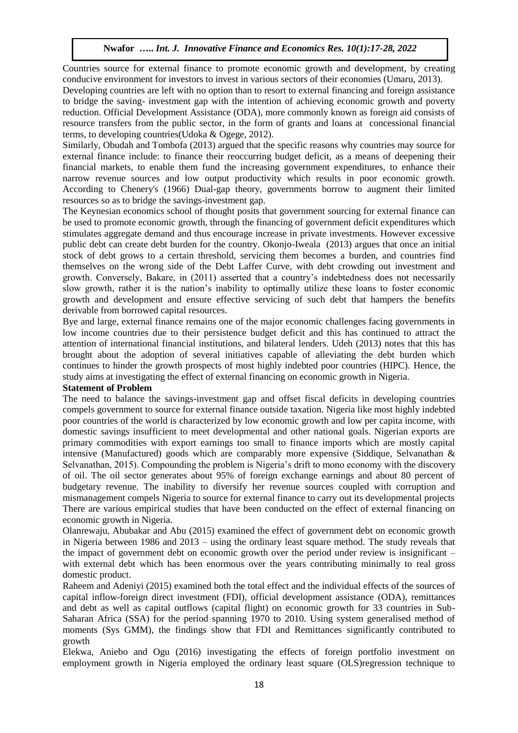Countries source for external finance to promote economic growth and development, by creating conducive environment for investors to invest in various sectors of their economies (Umaru, 2013).

Developing countries are left with no option than to resort to external financing and foreign assistance to bridge the saving- investment gap with the intention of achieving economic growth and poverty reduction. Official Development Assistance (ODA), more commonly known as foreign aid consists of resource transfers from the public sector, in the form of grants and loans at concessional financial terms, to developing countries(Udoka & Ogege, 2012).

Similarly, Obudah and Tombofa (2013) argued that the specific reasons why countries may source for external finance include: to finance their reoccurring budget deficit, as a means of deepening their financial markets, to enable them fund the increasing government expenditures, to enhance their narrow revenue sources and low output productivity which results in poor economic growth. According to Chenery's (1966) Dual-gap theory, governments borrow to augment their limited resources so as to bridge the savings-investment gap.

The Keynesian economics school of thought posits that government sourcing for external finance can be used to promote economic growth, through the financing of government deficit expenditures which stimulates aggregate demand and thus encourage increase in private investments. However excessive public debt can create debt burden for the country. Okonjo-Iweala (2013) argues that once an initial stock of debt grows to a certain threshold, servicing them becomes a burden, and countries find themselves on the wrong side of the Debt Laffer Curve, with debt crowding out investment and growth. Conversely, Bakare, in (2011) asserted that a country's indebtedness does not necessarily slow growth, rather it is the nation's inability to optimally utilize these loans to foster economic growth and development and ensure effective servicing of such debt that hampers the benefits derivable from borrowed capital resources.

Bye and large, external finance remains one of the major economic challenges facing governments in low income countries due to their persistence budget deficit and this has continued to attract the attention of international financial institutions, and bilateral lenders. Udeh (2013) notes that this has brought about the adoption of several initiatives capable of alleviating the debt burden which continues to hinder the growth prospects of most highly indebted poor countries (HIPC). Hence, the study aims at investigating the effect of external financing on economic growth in Nigeria.

#### **Statement of Problem**

The need to balance the savings-investment gap and offset fiscal deficits in developing countries compels government to source for external finance outside taxation. Nigeria like most highly indebted poor countries of the world is characterized by low economic growth and low per capita income, with domestic savings insufficient to meet developmental and other national goals. Nigerian exports are primary commodities with export earnings too small to finance imports which are mostly capital intensive (Manufactured) goods which are comparably more expensive (Siddique, Selvanathan & Selvanathan, 2015). Compounding the problem is Nigeria's drift to mono economy with the discovery of oil. The oil sector generates about 95% of foreign exchange earnings and about 80 percent of budgetary revenue. The inability to diversify her revenue sources coupled with corruption and mismanagement compels Nigeria to source for external finance to carry out its developmental projects There are various empirical studies that have been conducted on the effect of external financing on economic growth in Nigeria.

Olanrewaju, Abubakar and Abu (2015) examined the effect of government debt on economic growth in Nigeria between 1986 and 2013 – using the ordinary least square method. The study reveals that the impact of government debt on economic growth over the period under review is insignificant – with external debt which has been enormous over the years contributing minimally to real gross domestic product.

Raheem and Adeniyi (2015) examined both the total effect and the individual effects of the sources of capital inflow-foreign direct investment (FDI), official development assistance (ODA), remittances and debt as well as capital outflows (capital flight) on economic growth for 33 countries in Sub-Saharan Africa (SSA) for the period spanning 1970 to 2010. Using system generalised method of moments (Sys GMM), the findings show that FDI and Remittances significantly contributed to growth

Elekwa, Aniebo and Ogu (2016) investigating the effects of foreign portfolio investment on employment growth in Nigeria employed the ordinary least square (OLS)regression technique to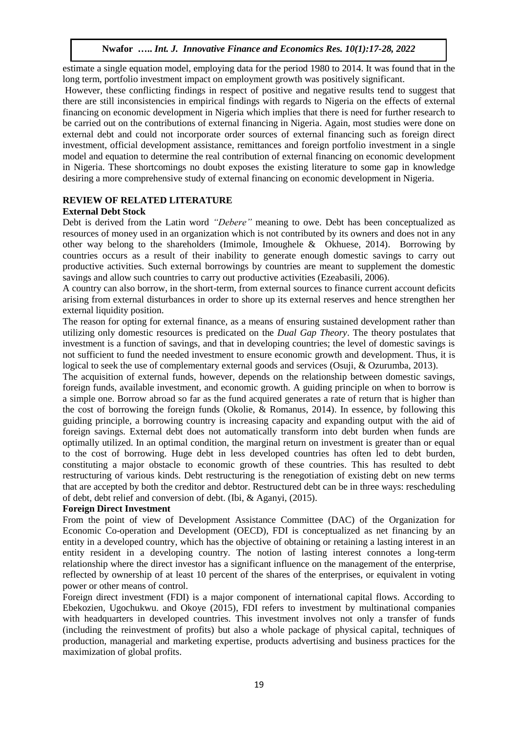estimate a single equation model, employing data for the period 1980 to 2014. It was found that in the long term, portfolio investment impact on employment growth was positively significant.

However, these conflicting findings in respect of positive and negative results tend to suggest that there are still inconsistencies in empirical findings with regards to Nigeria on the effects of external financing on economic development in Nigeria which implies that there is need for further research to be carried out on the contributions of external financing in Nigeria. Again, most studies were done on external debt and could not incorporate order sources of external financing such as foreign direct investment, official development assistance, remittances and foreign portfolio investment in a single model and equation to determine the real contribution of external financing on economic development in Nigeria. These shortcomings no doubt exposes the existing literature to some gap in knowledge desiring a more comprehensive study of external financing on economic development in Nigeria.

# **REVIEW OF RELATED LITERATURE**

#### **External Debt Stock**

Debt is derived from the Latin word *"Debere"* meaning to owe. Debt has been conceptualized as resources of money used in an organization which is not contributed by its owners and does not in any other way belong to the shareholders (Imimole, Imoughele & Okhuese, 2014). Borrowing by countries occurs as a result of their inability to generate enough domestic savings to carry out productive activities. Such external borrowings by countries are meant to supplement the domestic savings and allow such countries to carry out productive activities (Ezeabasili, 2006).

A country can also borrow, in the short-term, from external sources to finance current account deficits arising from external disturbances in order to shore up its external reserves and hence strengthen her external liquidity position.

The reason for opting for external finance, as a means of ensuring sustained development rather than utilizing only domestic resources is predicated on the *Dual Gap Theory*. The theory postulates that investment is a function of savings, and that in developing countries; the level of domestic savings is not sufficient to fund the needed investment to ensure economic growth and development. Thus, it is logical to seek the use of complementary external goods and services (Osuji, & Ozurumba, 2013).

The acquisition of external funds, however, depends on the relationship between domestic savings, foreign funds, available investment, and economic growth. A guiding principle on when to borrow is a simple one. Borrow abroad so far as the fund acquired generates a rate of return that is higher than the cost of borrowing the foreign funds (Okolie, & Romanus, 2014). In essence, by following this guiding principle, a borrowing country is increasing capacity and expanding output with the aid of foreign savings. External debt does not automatically transform into debt burden when funds are optimally utilized. In an optimal condition, the marginal return on investment is greater than or equal to the cost of borrowing. Huge debt in less developed countries has often led to debt burden, constituting a major obstacle to economic growth of these countries. This has resulted to debt restructuring of various kinds. Debt restructuring is the renegotiation of existing debt on new terms that are accepted by both the creditor and debtor. Restructured debt can be in three ways: rescheduling of debt, debt relief and conversion of debt. (Ibi, & Aganyi, (2015).

#### **Foreign Direct Investment**

From the point of view of Development Assistance Committee (DAC) of the Organization for Economic Co-operation and Development (OECD), FDI is conceptualized as net financing by an entity in a developed country, which has the objective of obtaining or retaining a lasting interest in an entity resident in a developing country. The notion of lasting interest connotes a long-term relationship where the direct investor has a significant influence on the management of the enterprise, reflected by ownership of at least 10 percent of the shares of the enterprises, or equivalent in voting power or other means of control.

Foreign direct investment (FDI) is a major component of international capital flows. According to Ebekozien, Ugochukwu. and Okoye (2015), FDI refers to investment by multinational companies with headquarters in developed countries. This investment involves not only a transfer of funds (including the reinvestment of profits) but also a whole package of physical capital, techniques of production, managerial and marketing expertise, products advertising and business practices for the maximization of global profits.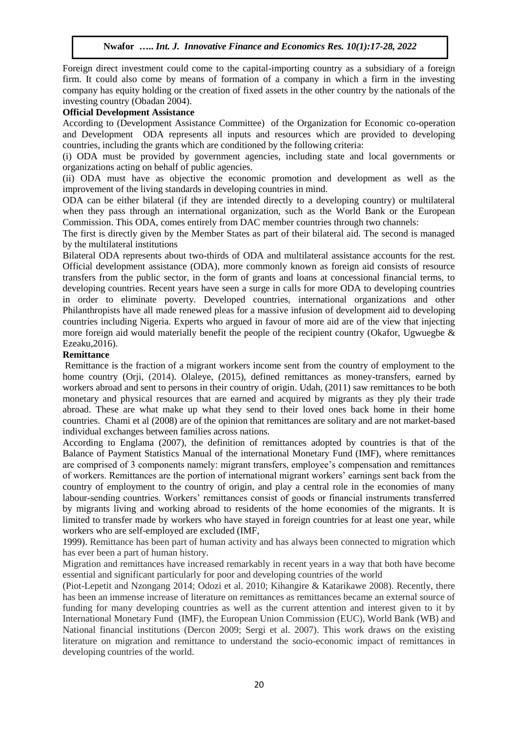Foreign direct investment could come to the capital-importing country as a subsidiary of a foreign firm. It could also come by means of formation of a company in which a firm in the investing company has equity holding or the creation of fixed assets in the other country by the nationals of the investing country (Obadan 2004).

#### **Official Development Assistance**

According to (Development Assistance Committee) of the Organization for Economic co-operation and Development ODA represents all inputs and resources which are provided to developing countries, including the grants which are conditioned by the following criteria:

(i) ODA must be provided by government agencies, including state and local governments or organizations acting on behalf of public agencies.

(ii) ODA must have as objective the economic promotion and development as well as the improvement of the living standards in developing countries in mind.

ODA can be either bilateral (if they are intended directly to a developing country) or multilateral when they pass through an international organization, such as the World Bank or the European Commission. This ODA, comes entirely from DAC member countries through two channels:

The first is directly given by the Member States as part of their bilateral aid. The second is managed by the multilateral institutions

Bilateral ODA represents about two-thirds of ODA and multilateral assistance accounts for the rest. Official development assistance (ODA), more commonly known as foreign aid consists of resource transfers from the public sector, in the form of grants and loans at concessional financial terms, to developing countries. Recent years have seen a surge in calls for more ODA to developing countries in order to eliminate poverty. Developed countries, international organizations and other Philanthropists have all made renewed pleas for a massive infusion of development aid to developing countries including Nigeria. Experts who argued in favour of more aid are of the view that injecting more foreign aid would materially benefit the people of the recipient country (Okafor, Ugwuegbe & Ezeaku,2016).

#### **Remittance**

Remittance is the fraction of a migrant workers income sent from the country of employment to the home country (Orji, (2014). Olaleye, (2015), defined remittances as money-transfers, earned by workers abroad and sent to persons in their country of origin. Udah, (2011) saw remittances to be both monetary and physical resources that are earned and acquired by migrants as they ply their trade abroad. These are what make up what they send to their loved ones back home in their home countries. Chami et al (2008) are of the opinion that remittances are solitary and are not market-based individual exchanges between families across nations.

According to Englama (2007), the definition of remittances adopted by countries is that of the Balance of Payment Statistics Manual of the international Monetary Fund (IMF), where remittances are comprised of 3 components namely: migrant transfers, employee's compensation and remittances of workers. Remittances are the portion of international migrant workers' earnings sent back from the country of employment to the country of origin, and play a central role in the economies of many labour-sending countries. Workers' remittances consist of goods or financial instruments transferred by migrants living and working abroad to residents of the home economies of the migrants. It is limited to transfer made by workers who have stayed in foreign countries for at least one year, while workers who are self-employed are excluded (IMF,

1999). Remittance has been part of human activity and has always been connected to migration which has ever been a part of human history.

Migration and remittances have increased remarkably in recent years in a way that both have become essential and significant particularly for poor and developing countries of the world

(Piot-Lepetit and Nzongang 2014; Odozi et al. 2010; Kihangire & Katarikawe 2008). Recently, there has been an immense increase of literature on remittances as remittances became an external source of funding for many developing countries as well as the current attention and interest given to it by International Monetary Fund (IMF), the European Union Commission (EUC), World Bank (WB) and National financial institutions (Dercon 2009; Sergi et al. 2007). This work draws on the existing literature on migration and remittance to understand the socio-economic impact of remittances in developing countries of the world.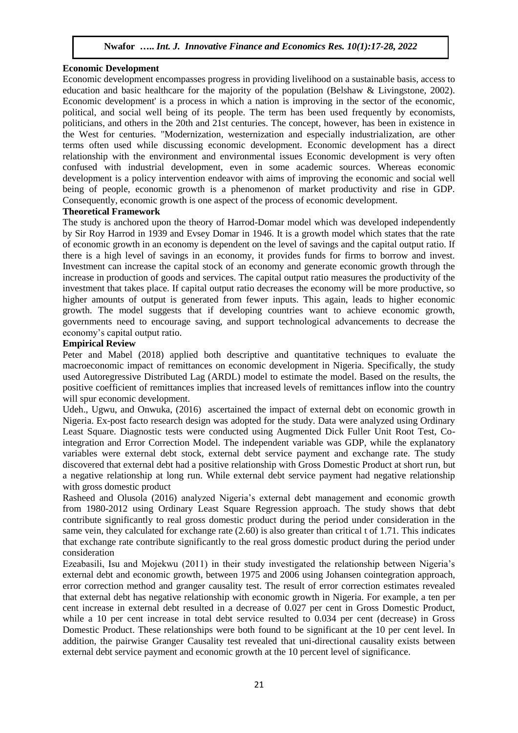#### **Economic Development**

Economic development encompasses progress in providing livelihood on a sustainable basis, access to education and basic healthcare for the majority of the population (Belshaw & Livingstone, 2002). Economic development' is a process in which a nation is improving in the sector of the economic, political, and social well being of its people. The term has been used frequently by economists, politicians, and others in the 20th and 21st centuries. The concept, however, has been in existence in the West for centuries. "Modernization, westernization and especially industrialization, are other terms often used while discussing economic development. Economic development has a direct relationship with the environment and environmental issues Economic development is very often confused with industrial development, even in some academic sources. Whereas economic development is a policy intervention endeavor with aims of improving the economic and social well being of people, economic growth is a phenomenon of market productivity and rise in GDP. Consequently, economic growth is one aspect of the process of economic development.

#### **Theoretical Framework**

The study is anchored upon the theory of Harrod-Domar model which was developed independently by Sir Roy Harrod in 1939 and Evsey Domar in 1946. It is a growth model which states that the rate of economic growth in an economy is dependent on the level of savings and the capital output ratio. If there is a high level of savings in an economy, it provides funds for firms to borrow and invest. Investment can increase the capital stock of an economy and generate economic growth through the increase in production of goods and services. The capital output ratio measures the productivity of the investment that takes place. If capital output ratio decreases the economy will be more productive, so higher amounts of output is generated from fewer inputs. This again, leads to higher economic growth. The model suggests that if developing countries want to achieve economic growth, governments need to encourage saving, and support technological advancements to decrease the economy's capital output ratio.

#### **Empirical Review**

Peter and Mabel (2018) applied both descriptive and quantitative techniques to evaluate the macroeconomic impact of remittances on economic development in Nigeria. Specifically, the study used Autoregressive Distributed Lag (ARDL) model to estimate the model. Based on the results, the positive coefficient of remittances implies that increased levels of remittances inflow into the country will spur economic development.

Udeh., Ugwu, and Onwuka, (2016) ascertained the impact of external debt on economic growth in Nigeria. Ex-post facto research design was adopted for the study. Data were analyzed using Ordinary Least Square. Diagnostic tests were conducted using Augmented Dick Fuller Unit Root Test, Cointegration and Error Correction Model. The independent variable was GDP, while the explanatory variables were external debt stock, external debt service payment and exchange rate. The study discovered that external debt had a positive relationship with Gross Domestic Product at short run, but a negative relationship at long run. While external debt service payment had negative relationship with gross domestic product

Rasheed and Olusola (2016) analyzed Nigeria's external debt management and economic growth from 1980-2012 using Ordinary Least Square Regression approach. The study shows that debt contribute significantly to real gross domestic product during the period under consideration in the same vein, they calculated for exchange rate (2.60) is also greater than critical t of 1.71. This indicates that exchange rate contribute significantly to the real gross domestic product during the period under consideration

Ezeabasili, Isu and Mojekwu (2011) in their study investigated the relationship between Nigeria's external debt and economic growth, between 1975 and 2006 using Johansen cointegration approach, error correction method and granger causality test. The result of error correction estimates revealed that external debt has negative relationship with economic growth in Nigeria. For example, a ten per cent increase in external debt resulted in a decrease of 0.027 per cent in Gross Domestic Product, while a 10 per cent increase in total debt service resulted to 0.034 per cent (decrease) in Gross Domestic Product. These relationships were both found to be significant at the 10 per cent level. In addition, the pairwise Granger Causality test revealed that uni-directional causality exists between external debt service payment and economic growth at the 10 percent level of significance.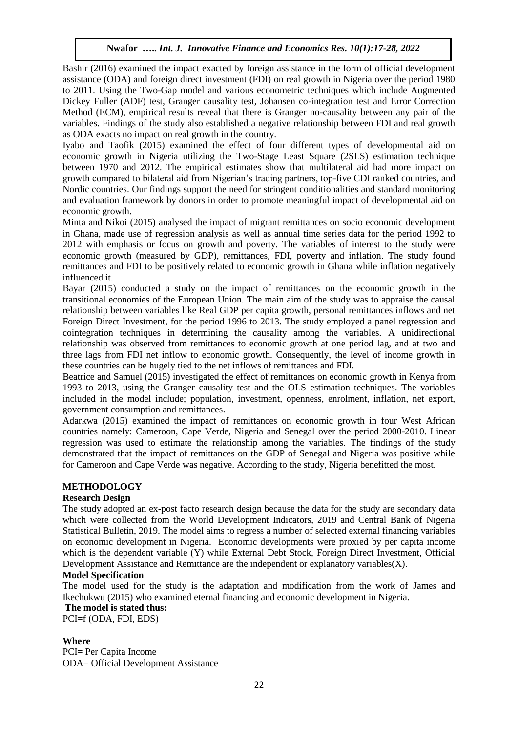Bashir (2016) examined the impact exacted by foreign assistance in the form of official development assistance (ODA) and foreign direct investment (FDI) on real growth in Nigeria over the period 1980 to 2011. Using the Two-Gap model and various econometric techniques which include Augmented Dickey Fuller (ADF) test, Granger causality test, Johansen co-integration test and Error Correction Method (ECM), empirical results reveal that there is Granger no-causality between any pair of the variables. Findings of the study also established a negative relationship between FDI and real growth as ODA exacts no impact on real growth in the country.

Iyabo and Taofik (2015) examined the effect of four different types of developmental aid on economic growth in Nigeria utilizing the Two-Stage Least Square (2SLS) estimation technique between 1970 and 2012. The empirical estimates show that multilateral aid had more impact on growth compared to bilateral aid from Nigerian's trading partners, top-five CDI ranked countries, and Nordic countries. Our findings support the need for stringent conditionalities and standard monitoring and evaluation framework by donors in order to promote meaningful impact of developmental aid on economic growth.

Minta and Nikoi (2015) analysed the impact of migrant remittances on socio economic development in Ghana, made use of regression analysis as well as annual time series data for the period 1992 to 2012 with emphasis or focus on growth and poverty. The variables of interest to the study were economic growth (measured by GDP), remittances, FDI, poverty and inflation. The study found remittances and FDI to be positively related to economic growth in Ghana while inflation negatively influenced it.

Bayar (2015) conducted a study on the impact of remittances on the economic growth in the transitional economies of the European Union. The main aim of the study was to appraise the causal relationship between variables like Real GDP per capita growth, personal remittances inflows and net Foreign Direct Investment, for the period 1996 to 2013. The study employed a panel regression and cointegration techniques in determining the causality among the variables. A unidirectional relationship was observed from remittances to economic growth at one period lag, and at two and three lags from FDI net inflow to economic growth. Consequently, the level of income growth in these countries can be hugely tied to the net inflows of remittances and FDI.

Beatrice and Samuel (2015) investigated the effect of remittances on economic growth in Kenya from 1993 to 2013, using the Granger causality test and the OLS estimation techniques. The variables included in the model include; population, investment, openness, enrolment, inflation, net export, government consumption and remittances.

Adarkwa (2015) examined the impact of remittances on economic growth in four West African countries namely: Cameroon, Cape Verde, Nigeria and Senegal over the period 2000-2010. Linear regression was used to estimate the relationship among the variables. The findings of the study demonstrated that the impact of remittances on the GDP of Senegal and Nigeria was positive while for Cameroon and Cape Verde was negative. According to the study, Nigeria benefitted the most.

#### **METHODOLOGY**

#### **Research Design**

The study adopted an ex-post facto research design because the data for the study are secondary data which were collected from the World Development Indicators, 2019 and Central Bank of Nigeria Statistical Bulletin, 2019. The model aims to regress a number of selected external financing variables on economic development in Nigeria. Economic developments were proxied by per capita income which is the dependent variable (Y) while External Debt Stock, Foreign Direct Investment, Official Development Assistance and Remittance are the independent or explanatory variables $(X)$ .

#### **Model Specification**

The model used for the study is the adaptation and modification from the work of James and Ikechukwu (2015) who examined eternal financing and economic development in Nigeria.

#### **The model is stated thus:**

PCI=f (ODA, FDI, EDS)

#### **Where**

PCI= Per Capita Income ODA= Official Development Assistance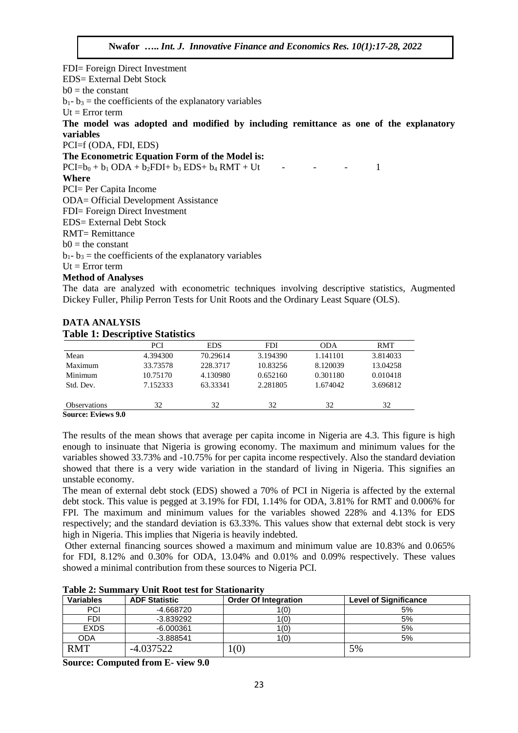FDI= Foreign Direct Investment EDS= External Debt Stock  $b0 =$  the constant  $b_1 - b_3$  = the coefficients of the explanatory variables  $Ut = Error term$ **The model was adopted and modified by including remittance as one of the explanatory variables**  PCI=f (ODA, FDI, EDS) **The Econometric Equation Form of the Model is:**  $PCI=b_0 + b_1 ODA + b_2 FDI + b_3 EDS + b_4 RMT + Ut$  - - - 1 **Where** PCI= Per Capita Income ODA= Official Development Assistance FDI= Foreign Direct Investment EDS= External Debt Stock RMT= Remittance  $b0 =$  the constant  $b_1 - b_3$  = the coefficients of the explanatory variables  $Ut = Error term$ **Method of Analyses**

The data are analyzed with econometric techniques involving descriptive statistics, Augmented Dickey Fuller, Philip Perron Tests for Unit Roots and the Ordinary Least Square (OLS).

#### **DATA ANALYSIS Table 1: Descriptive Statistics**

|                     | PCI      | <b>EDS</b> | <b>FDI</b> | <b>ODA</b> | <b>RMT</b> |
|---------------------|----------|------------|------------|------------|------------|
| Mean                | 4.394300 | 70.29614   | 3.194390   | 1.141101   | 3.814033   |
| Maximum             | 33.73578 | 228.3717   | 10.83256   | 8.120039   | 13.04258   |
| Minimum             | 10.75170 | 4.130980   | 0.652160   | 0.301180   | 0.010418   |
| Std. Dev.           | 7.152333 | 63.33341   | 2.281805   | 1.674042   | 3.696812   |
| <b>Observations</b> | 32       | 32         | 32         | 32         | 32         |
| Source: Friews 9 0  |          |            |            |            |            |

**Source: Eviews 9.0**

The results of the mean shows that average per capita income in Nigeria are 4.3. This figure is high enough to insinuate that Nigeria is growing economy. The maximum and minimum values for the variables showed 33.73% and -10.75% for per capita income respectively. Also the standard deviation showed that there is a very wide variation in the standard of living in Nigeria. This signifies an unstable economy.

The mean of external debt stock (EDS) showed a 70% of PCI in Nigeria is affected by the external debt stock. This value is pegged at 3.19% for FDI, 1.14% for ODA, 3.81% for RMT and 0.006% for FPI. The maximum and minimum values for the variables showed 228% and 4.13% for EDS respectively; and the standard deviation is 63.33%. This values show that external debt stock is very high in Nigeria. This implies that Nigeria is heavily indebted.

Other external financing sources showed a maximum and minimum value are 10.83% and 0.065% for FDI, 8.12% and 0.30% for ODA, 13.04% and 0.01% and 0.09% respectively. These values showed a minimal contribution from these sources to Nigeria PCI.

|  |  | Table 2: Summary Unit Root test for Stationarity |  |  |  |  |  |  |
|--|--|--------------------------------------------------|--|--|--|--|--|--|
|--|--|--------------------------------------------------|--|--|--|--|--|--|

| <b>Variables</b> | <b>ADF Statistic</b> | <b>Order Of Integration</b> | <b>Level of Significance</b> |
|------------------|----------------------|-----------------------------|------------------------------|
| <b>PCI</b>       | -4.668720            | 1(0)                        | 5%                           |
| <b>FDI</b>       | $-3.839292$          | 1(0)                        | 5%                           |
| <b>EXDS</b>      | $-6.000361$          | 1(0)                        | 5%                           |
| <b>ODA</b>       | $-3.888541$          | 1(0)                        | 5%                           |
| RMT              | -4.037522            | (0)                         | 5%                           |

**Source: Computed from E- view 9.0**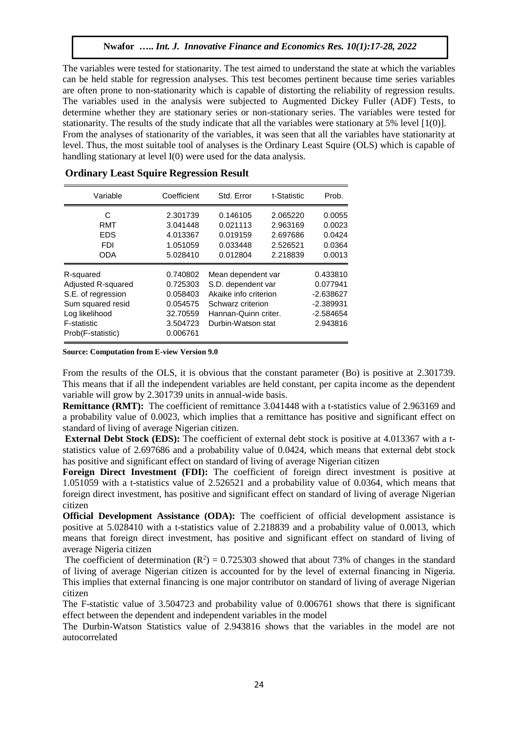The variables were tested for stationarity. The test aimed to understand the state at which the variables can be held stable for regression analyses. This test becomes pertinent because time series variables are often prone to non-stationarity which is capable of distorting the reliability of regression results. The variables used in the analysis were subjected to Augmented Dickey Fuller (ADF) Tests, to determine whether they are stationary series or non-stationary series. The variables were tested for stationarity. The results of the study indicate that all the variables were stationary at 5% level [1(0)]. From the analyses of stationarity of the variables, it was seen that all the variables have stationarity at level. Thus, the most suitable tool of analyses is the Ordinary Least Squire (OLS) which is capable of handling stationary at level I(0) were used for the data analysis.

| Variable           | Coefficient | Std. Error            | t-Statistic | Prob.       |
|--------------------|-------------|-----------------------|-------------|-------------|
| C                  | 2.301739    | 0.146105<br>2.065220  |             | 0.0055      |
| RMT                | 3.041448    | 0.021113<br>2.963169  |             | 0.0023      |
| <b>EDS</b>         | 4.013367    | 0.019159<br>2.697686  |             | 0.0424      |
| <b>FDI</b>         | 1.051059    | 0.033448              | 2.526521    | 0.0364      |
| <b>ODA</b>         | 5.028410    | 0.012804              | 2.218839    | 0.0013      |
| R-squared          | 0.740802    | Mean dependent var    |             | 0.433810    |
| Adjusted R-squared | 0.725303    | S.D. dependent var    |             | 0.077941    |
| S.E. of regression | 0.058403    | Akaike info criterion |             | $-2.638627$ |
| Sum squared resid  | 0.054575    | Schwarz criterion     |             | $-2.389931$ |
| Log likelihood     | 32.70559    | Hannan-Quinn criter.  |             | $-2.584654$ |
| <b>F-statistic</b> | 3.504723    | Durbin-Watson stat    |             | 2.943816    |
| Prob(F-statistic)  | 0.006761    |                       |             |             |

#### **Ordinary Least Squire Regression Result**

**Source: Computation from E-view Version 9.0**

From the results of the OLS, it is obvious that the constant parameter (Bo) is positive at 2.301739. This means that if all the independent variables are held constant, per capita income as the dependent variable will grow by 2.301739 units in annual-wide basis.

**Remittance (RMT):** The coefficient of remittance 3.041448 with a t-statistics value of 2.963169 and a probability value of 0.0023, which implies that a remittance has positive and significant effect on standard of living of average Nigerian citizen.

**External Debt Stock (EDS):** The coefficient of external debt stock is positive at 4.013367 with a tstatistics value of 2.697686 and a probability value of 0.0424, which means that external debt stock has positive and significant effect on standard of living of average Nigerian citizen

**Foreign Direct Investment (FDI):** The coefficient of foreign direct investment is positive at 1.051059 with a t-statistics value of 2.526521 and a probability value of 0.0364, which means that foreign direct investment, has positive and significant effect on standard of living of average Nigerian citizen

**Official Development Assistance (ODA):** The coefficient of official development assistance is positive at 5.028410 with a t-statistics value of 2.218839 and a probability value of 0.0013, which means that foreign direct investment, has positive and significant effect on standard of living of average Nigeria citizen

The coefficient of determination  $(R^2) = 0.725303$  showed that about 73% of changes in the standard of living of average Nigerian citizen is accounted for by the level of external financing in Nigeria. This implies that external financing is one major contributor on standard of living of average Nigerian citizen

The F-statistic value of 3.504723 and probability value of 0.006761 shows that there is significant effect between the dependent and independent variables in the model

The Durbin-Watson Statistics value of 2.943816 shows that the variables in the model are not autocorrelated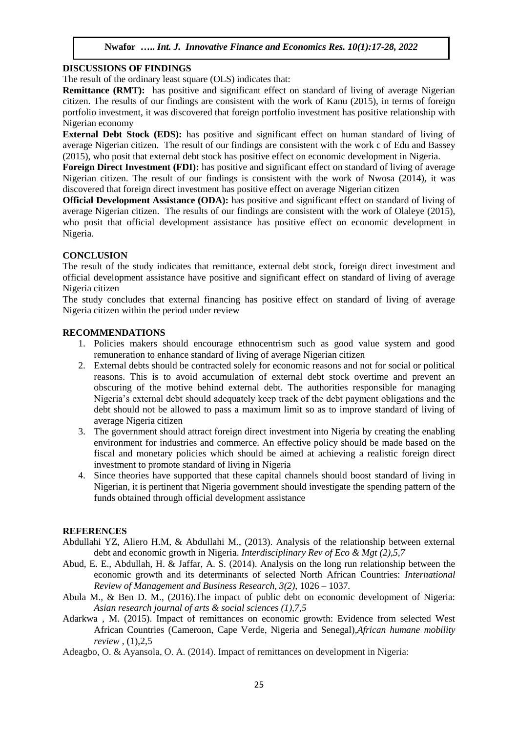#### **DISCUSSIONS OF FINDINGS**

The result of the ordinary least square (OLS) indicates that:

**Remittance (RMT):** has positive and significant effect on standard of living of average Nigerian citizen. The results of our findings are consistent with the work of Kanu (2015), in terms of foreign portfolio investment, it was discovered that foreign portfolio investment has positive relationship with Nigerian economy

**External Debt Stock (EDS):** has positive and significant effect on human standard of living of average Nigerian citizen. The result of our findings are consistent with the work c of Edu and Bassey (2015), who posit that external debt stock has positive effect on economic development in Nigeria.

**Foreign Direct Investment (FDI):** has positive and significant effect on standard of living of average Nigerian citizen. The result of our findings is consistent with the work of Nwosa (2014), it was discovered that foreign direct investment has positive effect on average Nigerian citizen

**Official Development Assistance (ODA):** has positive and significant effect on standard of living of average Nigerian citizen. The results of our findings are consistent with the work of Olaleye (2015), who posit that official development assistance has positive effect on economic development in Nigeria.

## **CONCLUSION**

The result of the study indicates that remittance, external debt stock, foreign direct investment and official development assistance have positive and significant effect on standard of living of average Nigeria citizen

The study concludes that external financing has positive effect on standard of living of average Nigeria citizen within the period under review

#### **RECOMMENDATIONS**

- 1. Policies makers should encourage ethnocentrism such as good value system and good remuneration to enhance standard of living of average Nigerian citizen
- 2. External debts should be contracted solely for economic reasons and not for social or political reasons. This is to avoid accumulation of external debt stock overtime and prevent an obscuring of the motive behind external debt. The authorities responsible for managing Nigeria's external debt should adequately keep track of the debt payment obligations and the debt should not be allowed to pass a maximum limit so as to improve standard of living of average Nigeria citizen
- 3. The government should attract foreign direct investment into Nigeria by creating the enabling environment for industries and commerce. An effective policy should be made based on the fiscal and monetary policies which should be aimed at achieving a realistic foreign direct investment to promote standard of living in Nigeria
- 4. Since theories have supported that these capital channels should boost standard of living in Nigerian, it is pertinent that Nigeria government should investigate the spending pattern of the funds obtained through official development assistance

#### **REFERENCES**

- Abdullahi YZ, Aliero H.M, & Abdullahi M., (2013). Analysis of the relationship between external debt and economic growth in Nigeria. *Interdisciplinary Rev of Eco & Mgt (2),5,7*
- Abud, E. E., Abdullah, H. & Jaffar, A. S. (2014). Analysis on the long run relationship between the economic growth and its determinants of selected North African Countries: *International Review of Management and Business Research, 3(2),* 1026 – 1037.
- Abula M., & Ben D. M., (2016).The impact of public debt on economic development of Nigeria: *Asian research journal of arts & social sciences (1),7,5*
- Adarkwa , M. (2015). Impact of remittances on economic growth: Evidence from selected West African Countries (Cameroon, Cape Verde, Nigeria and Senegal),*African humane mobility review* , (1),2,5
- Adeagbo, O. & Ayansola, O. A. (2014). Impact of remittances on development in Nigeria: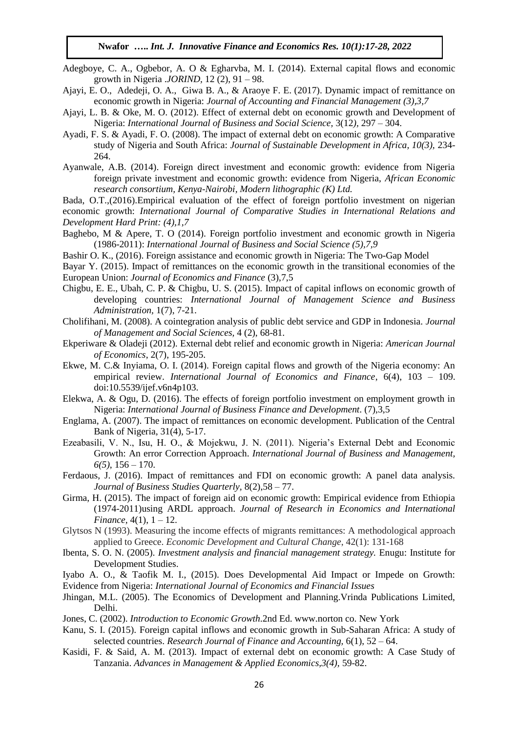- Adegboye, C. A., Ogbebor, A. O & Egharvba, M. I. (2014). External capital flows and economic growth in Nigeria .*JORIND,* 12 (2), 91 – 98.
- Ajayi, E. O., Adedeji, O. A., Giwa B. A., & Araoye F. E. (2017). Dynamic impact of remittance on economic growth in Nigeria: *Journal of Accounting and Financial Management (3),3,7*
- Ajayi, L. B. & Oke, M. O. (2012). Effect of external debt on economic growth and Development of Nigeria: *International Journal of Business and Social Science,* 3(12*),* 297 – 304.
- Ayadi, F. S. & Ayadi, F. O. (2008). The impact of external debt on economic growth: A Comparative study of Nigeria and South Africa: *Journal of Sustainable Development in Africa, 10(3),* 234- 264.
- Ayanwale, A.B. (2014). Foreign direct investment and economic growth: evidence from Nigeria foreign private investment and economic growth: evidence from Nigeria, *African Economic research consortium, Kenya-Nairobi, Modern lithographic (K) Ltd.*

Bada, O.T.,(2016).Empirical evaluation of the effect of foreign portfolio investment on nigerian economic growth: *International Journal of Comparative Studies in International Relations and Development Hard Print: (4),1,7*

- Baghebo, M & Apere, T. O (2014). Foreign portfolio investment and economic growth in Nigeria (1986-2011): *International Journal of Business and Social Science (5),7,9*
- Bashir O. K., (2016). Foreign assistance and economic growth in Nigeria: The Two-Gap Model
- Bayar Y. (2015). Impact of remittances on the economic growth in the transitional economies of the European Union: *Journal of Economics and Finance* (3),7,5
- Chigbu, E. E., Ubah, C. P. & Chigbu, U. S. (2015). Impact of capital inflows on economic growth of developing countries: *International Journal of Management Science and Business Administration,* 1(7), 7-21.
- Cholifihani, M. (2008). A cointegration analysis of public debt service and GDP in Indonesia. *Journal of Management and Social Sciences,* 4 (2), 68-81.
- Ekperiware & Oladeji (2012). External debt relief and economic growth in Nigeria: *American Journal of Economics*, 2(7), 195-205.
- Ekwe, M. C.& Inyiama, O. I. (2014). Foreign capital flows and growth of the Nigeria economy: An empirical review. *International Journal of Economics and Finance*, 6(4), 103 – 109. doi:10.5539/ijef.v6n4p103.
- Elekwa, A. & Ogu, D. (2016). The effects of foreign portfolio investment on employment growth in Nigeria: *International Journal of Business Finance and Development*. (7),3,5
- Englama, A. (2007). The impact of remittances on economic development. Publication of the Central Bank of Nigeria, 31(4), 5-17.
- Ezeabasili, V. N., Isu, H. O., & Mojekwu, J. N. (2011). Nigeria's External Debt and Economic Growth: An error Correction Approach. *International Journal of Business and Management, 6(5)*, 156 – 170.
- Ferdaous, J. (2016). Impact of remittances and FDI on economic growth: A panel data analysis. *Journal of Business Studies Quarterly,* 8(2),58 – 77.
- Girma, H. (2015). The impact of foreign aid on economic growth: Empirical evidence from Ethiopia (1974-2011)using ARDL approach. *Journal of Research in Economics and International Finance*, 4(1),  $1 - 12$ .
- Glytsos N (1993). Measuring the income effects of migrants remittances: A methodological approach applied to Greece. *Economic Development and Cultural Change*, 42(1): 131-168
- Ibenta, S. O. N. (2005). *Investment analysis and financial management strategy.* Enugu: Institute for Development Studies.
- Iyabo A. O., & Taofik M. I., (2015). Does Developmental Aid Impact or Impede on Growth: Evidence from Nigeria: *International Journal of Economics and Financial Issues*
- Jhingan, M.L. (2005). The Economics of Development and Planning.Vrinda Publications Limited, Delhi.
- Jones, C. (2002). *Introduction to Economic Growth*.2nd Ed. www.norton co. New York
- Kanu, S. I. (2015). Foreign capital inflows and economic growth in Sub-Saharan Africa: A study of selected countries. *Research Journal of Finance and Accounting,* 6(1), 52 – 64.
- Kasidi, F. & Said, A. M. (2013). Impact of external debt on economic growth: A Case Study of Tanzania. *Advances in Management & Applied Economics,3(4),* 59-82.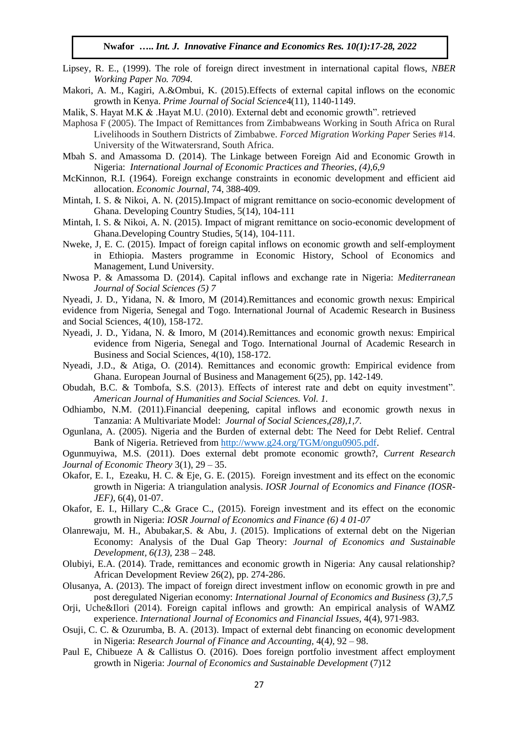- Lipsey, R. E., (1999). The role of foreign direct investment in international capital flows, *NBER Working Paper No. 7094.*
- Makori, A. M., Kagiri, A.&Ombui, K. (2015).Effects of external capital inflows on the economic growth in Kenya. *Prime Journal of Social Science*4(11), 1140-1149.
- Malik, S. Hayat M.K & .Hayat M.U. (2010). External debt and economic growth". retrieved
- Maphosa F (2005). The Impact of Remittances from Zimbabweans Working in South Africa on Rural Livelihoods in Southern Districts of Zimbabwe. *Forced Migration Working Paper* Series #14. University of the Witwatersrand, South Africa.
- Mbah S. and Amassoma D. (2014). The Linkage between Foreign Aid and Economic Growth in Nigeria: *International Journal of Economic Practices and Theories, (4),6,9*
- McKinnon, R.I. (1964). Foreign exchange constraints in economic development and efficient aid allocation. *Economic Journal*, 74, 388-409.
- Mintah, I. S. & Nikoi, A. N. (2015).Impact of migrant remittance on socio-economic development of Ghana. Developing Country Studies, 5(14), 104-111
- Mintah, I. S. & Nikoi, A. N. (2015). Impact of migrant remittance on socio-economic development of Ghana.Developing Country Studies, 5(14), 104-111.
- Nweke, J, E. C. (2015). Impact of foreign capital inflows on economic growth and self-employment in Ethiopia. Masters programme in Economic History, School of Economics and Management, Lund University.
- Nwosa P. & Amassoma D. (2014). Capital inflows and exchange rate in Nigeria: *Mediterranean Journal of Social Sciences (5) 7*
- Nyeadi, J. D., Yidana, N. & Imoro, M (2014).Remittances and economic growth nexus: Empirical evidence from Nigeria, Senegal and Togo. International Journal of Academic Research in Business and Social Sciences, 4(10), 158-172.
- Nyeadi, J. D., Yidana, N. & Imoro, M (2014).Remittances and economic growth nexus: Empirical evidence from Nigeria, Senegal and Togo. International Journal of Academic Research in Business and Social Sciences, 4(10), 158-172.
- Nyeadi, J.D., & Atiga, O. (2014). Remittances and economic growth: Empirical evidence from Ghana. European Journal of Business and Management 6(25), pp. 142-149.
- Obudah, B.C. & Tombofa, S.S. (2013). Effects of interest rate and debt on equity investment". *American Journal of Humanities and Social Sciences. Vol. 1.*
- Odhiambo, N.M. (2011).Financial deepening, capital inflows and economic growth nexus in Tanzania: A Multivariate Model: *Journal of Social Sciences,(28),1,7.*
- Ogunlana, A. (2005). Nigeria and the Burden of external debt: The Need for Debt Relief. Central Bank of Nigeria. Retrieved from [http://www.g24.org/TGM/ongu0905.pdf.](http://www.g24.org/TGM/ongu0905.pdf)

Ogunmuyiwa, M.S. (2011). Does external debt promote economic growth?, *Current Research Journal of Economic Theory* 3(1), 29 – 35.

- Okafor, E. I., Ezeaku, H. C. & Eje, G. E. (2015). Foreign investment and its effect on the economic growth in Nigeria: A triangulation analysis. *IOSR Journal of Economics and Finance (IOSR-JEF),* 6(4), 01-07.
- Okafor, E. I., Hillary C.,& Grace C., (2015). Foreign investment and its effect on the economic growth in Nigeria: *IOSR Journal of Economics and Finance (6) 4 01-07*
- Olanrewaju, M. H., Abubakar,S. & Abu, J. (2015). Implications of external debt on the Nigerian Economy: Analysis of the Dual Gap Theory: *Journal of Economics and Sustainable Development, 6(13),* 238 – 248.
- Olubiyi, E.A. (2014). Trade, remittances and economic growth in Nigeria: Any causal relationship? African Development Review 26(2), pp. 274-286.
- Olusanya, A. (2013). The impact of foreign direct investment inflow on economic growth in pre and post deregulated Nigerian economy: *International Journal of Economics and Business (3),7,5*
- Orji, Uche&Ilori (2014). Foreign capital inflows and growth: An empirical analysis of WAMZ experience. *International Journal of Economics and Financial Issues,* 4(4), 971-983.
- Osuji, C. C. & Ozurumba, B. A. (2013). Impact of external debt financing on economic development in Nigeria: *Research Journal of Finance and Accounting,* 4(4*),* 92 – 98.
- Paul E, Chibueze A & Callistus O. (2016). Does foreign portfolio investment affect employment growth in Nigeria: *Journal of Economics and Sustainable Development* (7)12